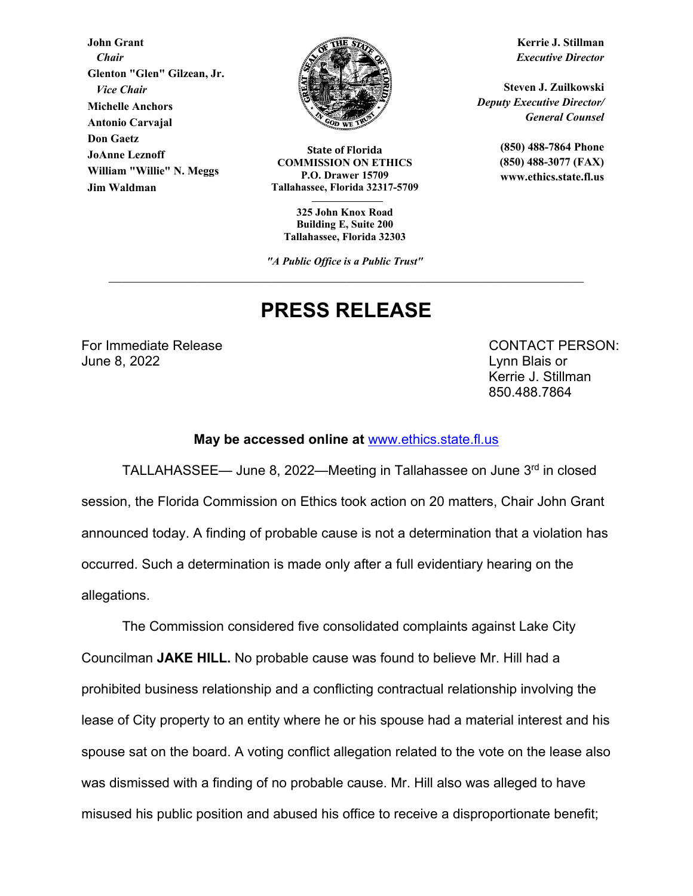**John Grant**  *Chair*  **Glenton "Glen" Gilzean, Jr.**   *Vice Chair* **Michelle Anchors Antonio Carvajal Don Gaetz JoAnne Leznoff William "Willie" N. Meggs Jim Waldman**



**State of Florida COMMISSION ON ETHICS P.O. Drawer 15709 Tallahassee, Florida 32317-5709** 

**325 John Knox Road Building E, Suite 200 Tallahassee, Florida 32303** 

*"A Public Office is a Public Trust"*

# **PRESS RELEASE**

For Immediate Release **CONTACT PERSON:** June 8, 2022 Lynn Blais or

Kerrie J. Stillman 850.488.7864

#### **May be accessed online at** www.ethics.state.fl.us

 TALLAHASSEE— June 8, 2022—Meeting in Tallahassee on June 3rd in closed session, the Florida Commission on Ethics took action on 20 matters, Chair John Grant announced today. A finding of probable cause is not a determination that a violation has occurred. Such a determination is made only after a full evidentiary hearing on the allegations.

The Commission considered five consolidated complaints against Lake City Councilman **JAKE HILL.** No probable cause was found to believe Mr. Hill had a prohibited business relationship and a conflicting contractual relationship involving the lease of City property to an entity where he or his spouse had a material interest and his spouse sat on the board. A voting conflict allegation related to the vote on the lease also was dismissed with a finding of no probable cause. Mr. Hill also was alleged to have misused his public position and abused his office to receive a disproportionate benefit;

**Kerrie J. Stillman** *Executive Director* 

**Steven J. Zuilkowski**  *Deputy Executive Director/ General Counsel* 

> **(850) 488-7864 Phone (850) 488-3077 (FAX) www.ethics.state.fl.us**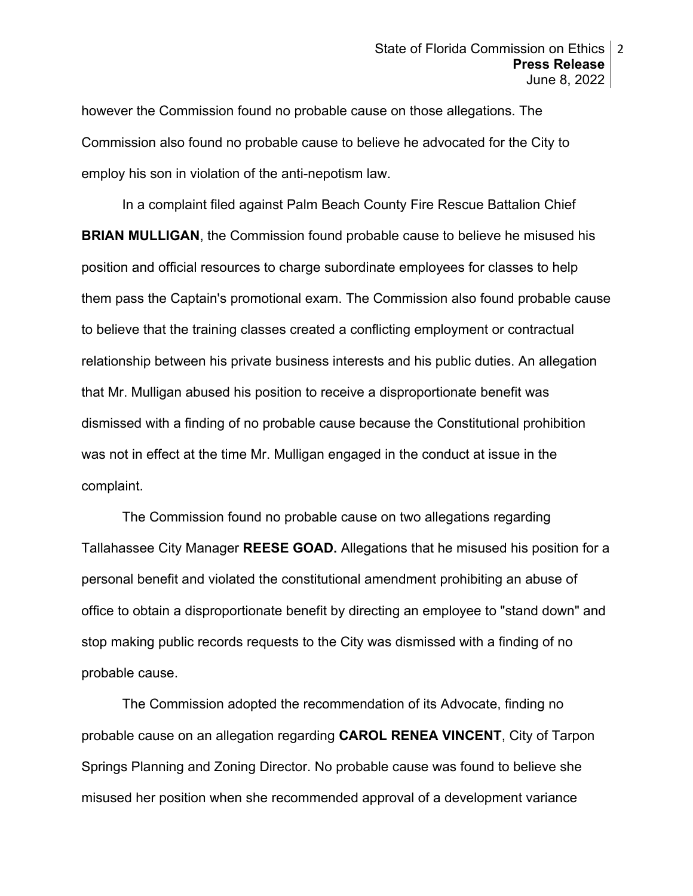however the Commission found no probable cause on those allegations. The Commission also found no probable cause to believe he advocated for the City to employ his son in violation of the anti-nepotism law.

 In a complaint filed against Palm Beach County Fire Rescue Battalion Chief **BRIAN MULLIGAN**, the Commission found probable cause to believe he misused his position and official resources to charge subordinate employees for classes to help them pass the Captain's promotional exam. The Commission also found probable cause to believe that the training classes created a conflicting employment or contractual relationship between his private business interests and his public duties. An allegation that Mr. Mulligan abused his position to receive a disproportionate benefit was dismissed with a finding of no probable cause because the Constitutional prohibition was not in effect at the time Mr. Mulligan engaged in the conduct at issue in the complaint.

The Commission found no probable cause on two allegations regarding Tallahassee City Manager **REESE GOAD.** Allegations that he misused his position for a personal benefit and violated the constitutional amendment prohibiting an abuse of office to obtain a disproportionate benefit by directing an employee to "stand down" and stop making public records requests to the City was dismissed with a finding of no probable cause.

The Commission adopted the recommendation of its Advocate, finding no probable cause on an allegation regarding **CAROL RENEA VINCENT**, City of Tarpon Springs Planning and Zoning Director. No probable cause was found to believe she misused her position when she recommended approval of a development variance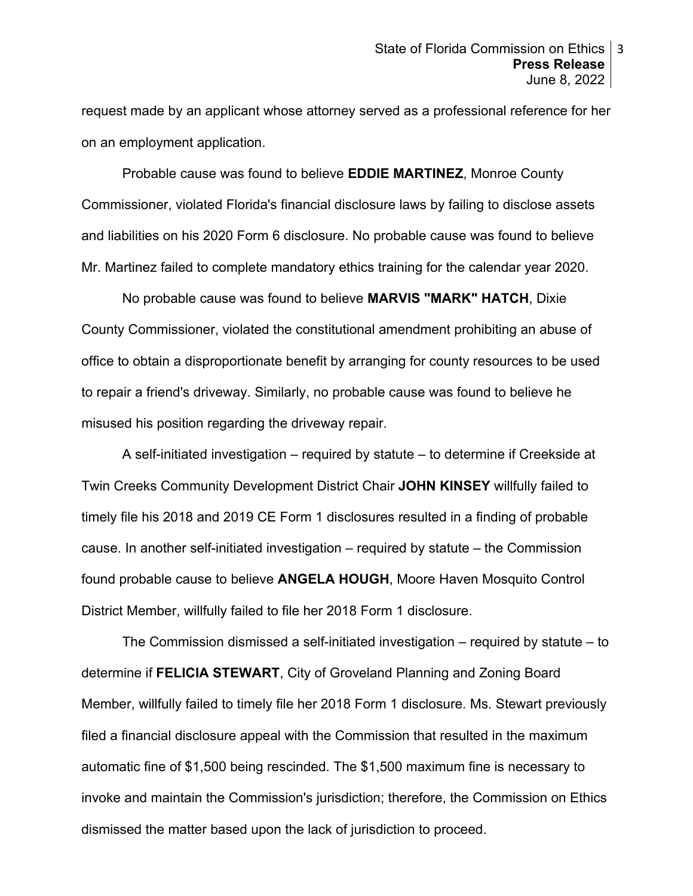request made by an applicant whose attorney served as a professional reference for her on an employment application.

Probable cause was found to believe **EDDIE MARTINEZ**, Monroe County Commissioner, violated Florida's financial disclosure laws by failing to disclose assets and liabilities on his 2020 Form 6 disclosure. No probable cause was found to believe Mr. Martinez failed to complete mandatory ethics training for the calendar year 2020.

No probable cause was found to believe **MARVIS "MARK" HATCH**, Dixie County Commissioner, violated the constitutional amendment prohibiting an abuse of office to obtain a disproportionate benefit by arranging for county resources to be used to repair a friend's driveway. Similarly, no probable cause was found to believe he misused his position regarding the driveway repair.

A self-initiated investigation – required by statute – to determine if Creekside at Twin Creeks Community Development District Chair **JOHN KINSEY** willfully failed to timely file his 2018 and 2019 CE Form 1 disclosures resulted in a finding of probable cause. In another self-initiated investigation – required by statute – the Commission found probable cause to believe **ANGELA HOUGH**, Moore Haven Mosquito Control District Member, willfully failed to file her 2018 Form 1 disclosure.

The Commission dismissed a self-initiated investigation – required by statute – to determine if **FELICIA STEWART**, City of Groveland Planning and Zoning Board Member, willfully failed to timely file her 2018 Form 1 disclosure. Ms. Stewart previously filed a financial disclosure appeal with the Commission that resulted in the maximum automatic fine of \$1,500 being rescinded. The \$1,500 maximum fine is necessary to invoke and maintain the Commission's jurisdiction; therefore, the Commission on Ethics dismissed the matter based upon the lack of jurisdiction to proceed.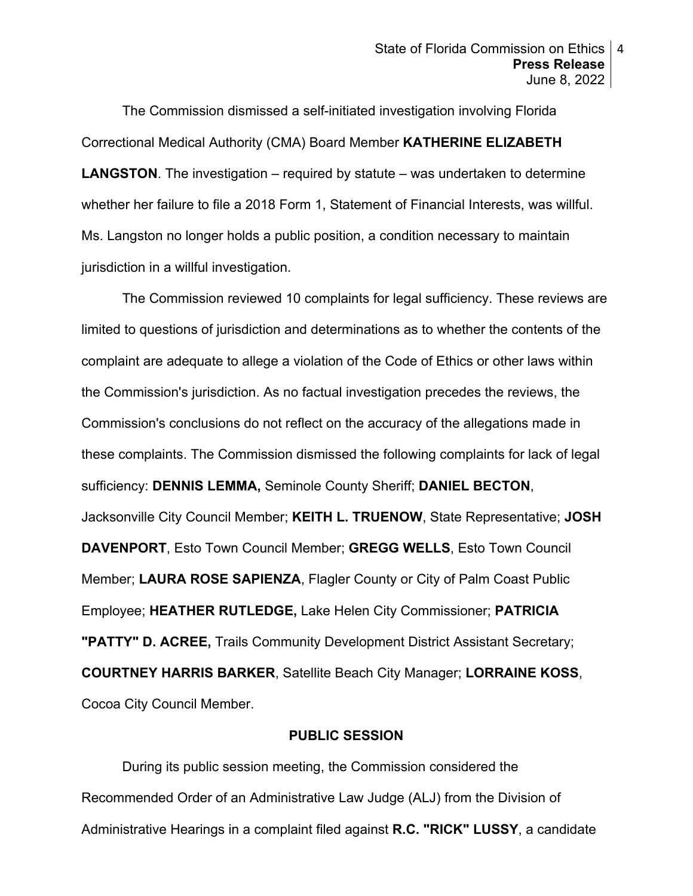The Commission dismissed a self-initiated investigation involving Florida Correctional Medical Authority (CMA) Board Member **KATHERINE ELIZABETH LANGSTON**. The investigation – required by statute – was undertaken to determine whether her failure to file a 2018 Form 1, Statement of Financial Interests, was willful. Ms. Langston no longer holds a public position, a condition necessary to maintain jurisdiction in a willful investigation.

The Commission reviewed 10 complaints for legal sufficiency. These reviews are limited to questions of jurisdiction and determinations as to whether the contents of the complaint are adequate to allege a violation of the Code of Ethics or other laws within the Commission's jurisdiction. As no factual investigation precedes the reviews, the Commission's conclusions do not reflect on the accuracy of the allegations made in these complaints. The Commission dismissed the following complaints for lack of legal sufficiency: **DENNIS LEMMA,** Seminole County Sheriff; **DANIEL BECTON**, Jacksonville City Council Member; **KEITH L. TRUENOW**, State Representative; **JOSH DAVENPORT**, Esto Town Council Member; **GREGG WELLS**, Esto Town Council Member; **LAURA ROSE SAPIENZA**, Flagler County or City of Palm Coast Public Employee; **HEATHER RUTLEDGE,** Lake Helen City Commissioner; **PATRICIA "PATTY" D. ACREE,** Trails Community Development District Assistant Secretary; **COURTNEY HARRIS BARKER**, Satellite Beach City Manager; **LORRAINE KOSS**, Cocoa City Council Member.

### **PUBLIC SESSION**

During its public session meeting, the Commission considered the Recommended Order of an Administrative Law Judge (ALJ) from the Division of Administrative Hearings in a complaint filed against **R.C. "RICK" LUSSY**, a candidate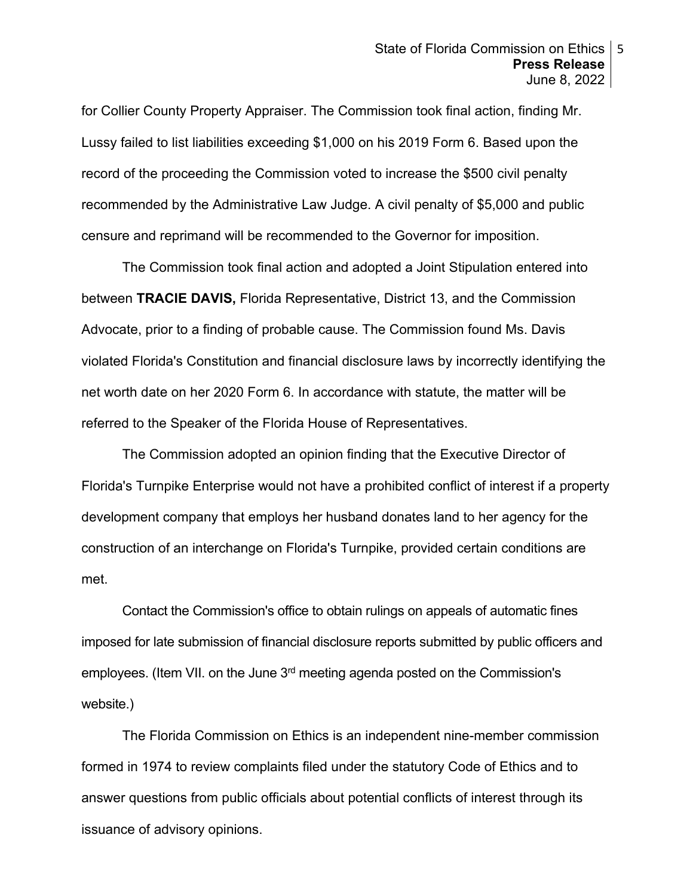#### State of Florida Commission on Ethics 5 **Press Release**  June 8, 2022

for Collier County Property Appraiser. The Commission took final action, finding Mr. Lussy failed to list liabilities exceeding \$1,000 on his 2019 Form 6. Based upon the record of the proceeding the Commission voted to increase the \$500 civil penalty recommended by the Administrative Law Judge. A civil penalty of \$5,000 and public censure and reprimand will be recommended to the Governor for imposition.

The Commission took final action and adopted a Joint Stipulation entered into between **TRACIE DAVIS,** Florida Representative, District 13, and the Commission Advocate, prior to a finding of probable cause. The Commission found Ms. Davis violated Florida's Constitution and financial disclosure laws by incorrectly identifying the net worth date on her 2020 Form 6. In accordance with statute, the matter will be referred to the Speaker of the Florida House of Representatives.

The Commission adopted an opinion finding that the Executive Director of Florida's Turnpike Enterprise would not have a prohibited conflict of interest if a property development company that employs her husband donates land to her agency for the construction of an interchange on Florida's Turnpike, provided certain conditions are met.

Contact the Commission's office to obtain rulings on appeals of automatic fines imposed for late submission of financial disclosure reports submitted by public officers and employees. (Item VII. on the June 3rd meeting agenda posted on the Commission's website.)

The Florida Commission on Ethics is an independent nine-member commission formed in 1974 to review complaints filed under the statutory Code of Ethics and to answer questions from public officials about potential conflicts of interest through its issuance of advisory opinions.